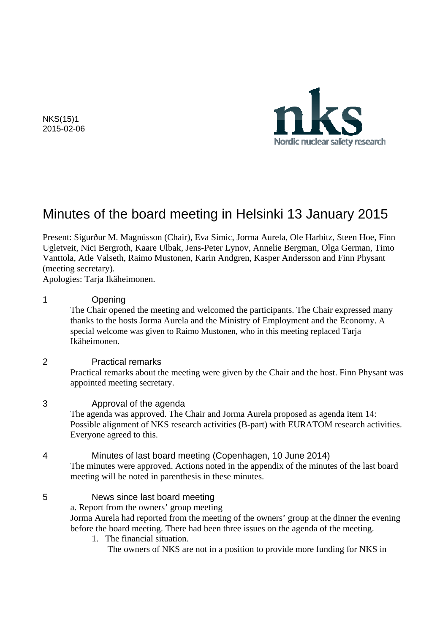

NKS(15)1 2015-02-06

# Minutes of the board meeting in Helsinki 13 January 2015

Present: Sigurður M. Magnússon (Chair), Eva Simic, Jorma Aurela, Ole Harbitz, Steen Hoe, Finn Ugletveit, Nici Bergroth, Kaare Ulbak, Jens-Peter Lynov, Annelie Bergman, Olga German, Timo Vanttola, Atle Valseth, Raimo Mustonen, Karin Andgren, Kasper Andersson and Finn Physant (meeting secretary).

Apologies: Tarja Ikäheimonen.

#### 1 Opening

The Chair opened the meeting and welcomed the participants. The Chair expressed many thanks to the hosts Jorma Aurela and the Ministry of Employment and the Economy. A special welcome was given to Raimo Mustonen, who in this meeting replaced Tarja Ikäheimonen.

#### 2 Practical remarks

Practical remarks about the meeting were given by the Chair and the host. Finn Physant was appointed meeting secretary.

#### 3 Approval of the agenda

 The agenda was approved. The Chair and Jorma Aurela proposed as agenda item 14: Possible alignment of NKS research activities (B-part) with EURATOM research activities. Everyone agreed to this.

#### 4 Minutes of last board meeting (Copenhagen, 10 June 2014)

The minutes were approved. Actions noted in the appendix of the minutes of the last board meeting will be noted in parenthesis in these minutes.

#### 5 News since last board meeting

a. Report from the owners' group meeting

Jorma Aurela had reported from the meeting of the owners' group at the dinner the evening before the board meeting. There had been three issues on the agenda of the meeting.

- 1. The financial situation.
	- The owners of NKS are not in a position to provide more funding for NKS in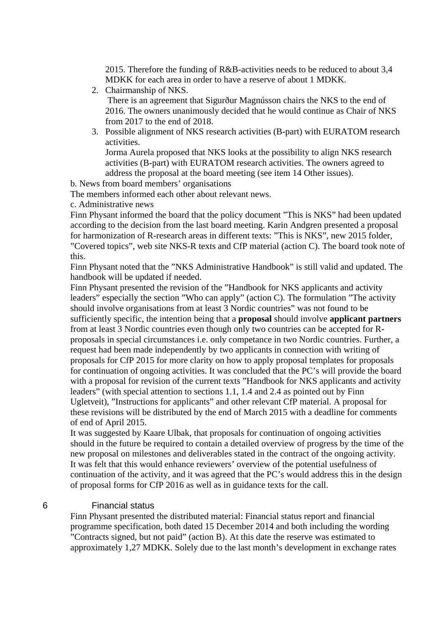2015. Therefore the funding of R&B-activities needs to be reduced to about 3,4 MDKK for each area in order to have a reserve of about 1 MDKK.

2. Chairmanship of NKS.

 There is an agreement that Sigurður Magnússon chairs the NKS to the end of 2016. The owners unanimously decided that he would continue as Chair of NKS from 2017 to the end of 2018.

- 3. Possible alignment of NKS research activities (B-part) with EURATOM research activities. Jorma Aurela proposed that NKS looks at the possibility to align NKS research activities (B-part) with EURATOM research activities. The owners agreed to address the proposal at the board meeting (see item 14 Other issues).
- b. News from board members' organisations

The members informed each other about relevant news.

c. Administrative news

Finn Physant informed the board that the policy document "This is NKS" had been updated according to the decision from the last board meeting. Karin Andgren presented a proposal for harmonization of R-research areas in different texts: "This is NKS", new 2015 folder, "Covered topics", web site NKS-R texts and CfP material (action C). The board took note of this.

Finn Physant noted that the "NKS Administrative Handbook" is still valid and updated. The handbook will be updated if needed.

Finn Physant presented the revision of the "Handbook for NKS applicants and activity leaders" especially the section "Who can apply" (action C). The formulation "The activity should involve organisations from at least 3 Nordic countries" was not found to be sufficiently specific, the intention being that a **proposal** should involve **applicant partners** from at least 3 Nordic countries even though only two countries can be accepted for Rproposals in special circumstances i.e. only competance in two Nordic countries. Further, a request had been made independently by two applicants in connection with writing of proposals for CfP 2015 for more clarity on how to apply proposal templates for proposals for continuation of ongoing activities. It was concluded that the PC's will provide the board with a proposal for revision of the current texts "Handbook for NKS applicants and activity leaders" (with special attention to sections 1.1, 1.4 and 2.4 as pointed out by Finn Ugletveit), "Instructions for applicants" and other relevant CfP material. A proposal for these revisions will be distributed by the end of March 2015 with a deadline for comments of end of April 2015.

It was suggested by Kaare Ulbak, that proposals for continuation of ongoing activities should in the future be required to contain a detailed overview of progress by the time of the new proposal on milestones and deliverables stated in the contract of the ongoing activity. It was felt that this would enhance reviewers' overview of the potential usefulness of continuation of the activity, and it was agreed that the PC's would address this in the design of proposal forms for CfP 2016 as well as in guidance texts for the call.

#### 6 Financial status

Finn Physant presented the distributed material: Financial status report and financial programme specification, both dated 15 December 2014 and both including the wording "Contracts signed, but not paid" (action B). At this date the reserve was estimated to approximately 1,27 MDKK. Solely due to the last month's development in exchange rates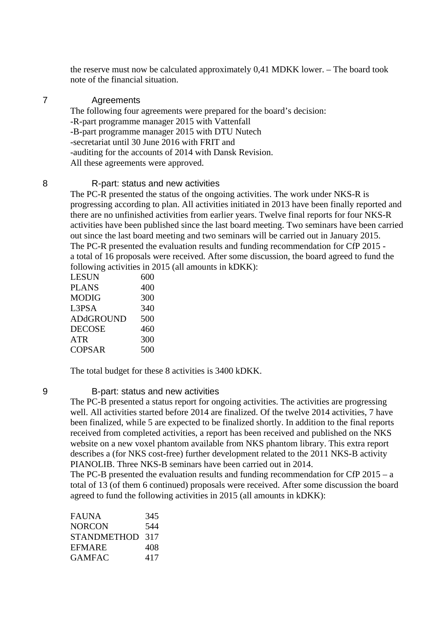the reserve must now be calculated approximately 0,41 MDKK lower. – The board took note of the financial situation.

#### 7 Agreements

The following four agreements were prepared for the board's decision: -R-part programme manager 2015 with Vattenfall -B-part programme manager 2015 with DTU Nutech -secretariat until 30 June 2016 with FRIT and -auditing for the accounts of 2014 with Dansk Revision. All these agreements were approved.

#### 8 R-part: status and new activities

The PC-R presented the status of the ongoing activities. The work under NKS-R is progressing according to plan. All activities initiated in 2013 have been finally reported and there are no unfinished activities from earlier years. Twelve final reports for four NKS-R activities have been published since the last board meeting. Two seminars have been carried out since the last board meeting and two seminars will be carried out in January 2015. The PC-R presented the evaluation results and funding recommendation for CfP 2015 a total of 16 proposals were received. After some discussion, the board agreed to fund the following activities in 2015 (all amounts in kDKK):

| LESUN         | 600 |
|---------------|-----|
| <b>PLANS</b>  | 400 |
| MODIG         | 300 |
| L3PSA         | 340 |
| ADdGROUND     | 500 |
| DECOSE        | 460 |
| ATR           | 300 |
| <b>COPSAR</b> | 500 |

The total budget for these 8 activities is 3400 kDKK.

#### 9 B-part: status and new activities

The PC-B presented a status report for ongoing activities. The activities are progressing well. All activities started before 2014 are finalized. Of the twelve 2014 activities, 7 have been finalized, while 5 are expected to be finalized shortly. In addition to the final reports received from completed activities, a report has been received and published on the NKS website on a new voxel phantom available from NKS phantom library. This extra report describes a (for NKS cost-free) further development related to the 2011 NKS-B activity PIANOLIB. Three NKS-B seminars have been carried out in 2014.

The PC-B presented the evaluation results and funding recommendation for CfP 2015 – a total of 13 (of them 6 continued) proposals were received. After some discussion the board agreed to fund the following activities in 2015 (all amounts in kDKK):

| FAUNA              | 345 |
|--------------------|-----|
| NORCON             | 544 |
| <b>STANDMETHOD</b> | 317 |
| EFMARE             | 408 |
| GAMFAC             | 417 |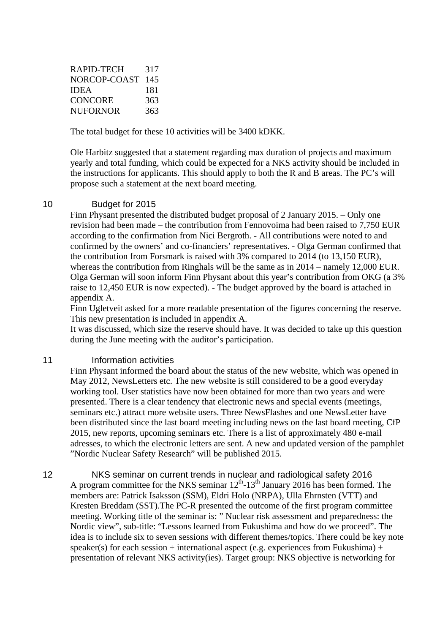| RAPID-TECH      | 317 |
|-----------------|-----|
| NORCOP-COAST    | 145 |
| <b>IDEA</b>     | 181 |
| <b>CONCORE</b>  | 363 |
| <b>NUFORNOR</b> | 363 |

The total budget for these 10 activities will be 3400 kDKK.

Ole Harbitz suggested that a statement regarding max duration of projects and maximum yearly and total funding, which could be expected for a NKS activity should be included in the instructions for applicants. This should apply to both the R and B areas. The PC's will propose such a statement at the next board meeting.

#### 10 Budget for 2015

Finn Physant presented the distributed budget proposal of 2 January 2015. – Only one revision had been made – the contribution from Fennovoima had been raised to 7,750 EUR according to the confirmation from Nici Bergroth. - All contributions were noted to and confirmed by the owners' and co-financiers' representatives. - Olga German confirmed that the contribution from Forsmark is raised with 3% compared to 2014 (to 13,150 EUR), whereas the contribution from Ringhals will be the same as in 2014 – namely 12,000 EUR. Olga German will soon inform Finn Physant about this year's contribution from OKG (a 3% raise to 12,450 EUR is now expected). - The budget approved by the board is attached in appendix A.

Finn Ugletveit asked for a more readable presentation of the figures concerning the reserve. This new presentation is included in appendix A.

It was discussed, which size the reserve should have. It was decided to take up this question during the June meeting with the auditor's participation.

#### 11 **Information activities**

Finn Physant informed the board about the status of the new website, which was opened in May 2012, NewsLetters etc. The new website is still considered to be a good everyday working tool. User statistics have now been obtained for more than two years and were presented. There is a clear tendency that electronic news and special events (meetings, seminars etc.) attract more website users. Three NewsFlashes and one NewsLetter have been distributed since the last board meeting including news on the last board meeting, CfP 2015, new reports, upcoming seminars etc. There is a list of approximately 480 e-mail adresses, to which the electronic letters are sent. A new and updated version of the pamphlet "Nordic Nuclear Safety Research" will be published 2015.

12 NKS seminar on current trends in nuclear and radiological safety 2016 A program committee for the NKS seminar  $12<sup>th</sup>$ -13<sup>th</sup> January 2016 has been formed. The members are: Patrick Isaksson (SSM), Eldri Holo (NRPA), Ulla Ehrnsten (VTT) and Kresten Breddam (SST).The PC-R presented the outcome of the first program committee meeting. Working title of the seminar is: " Nuclear risk assessment and preparedness: the Nordic view", sub-title: "Lessons learned from Fukushima and how do we proceed". The idea is to include six to seven sessions with different themes/topics. There could be key note speaker(s) for each session + international aspect (e.g. experiences from Fukushima) + presentation of relevant NKS activity(ies). Target group: NKS objective is networking for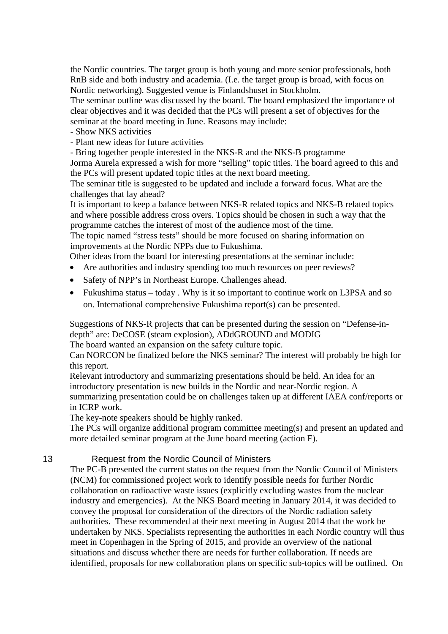the Nordic countries. The target group is both young and more senior professionals, both RnB side and both industry and academia. (I.e. the target group is broad, with focus on Nordic networking). Suggested venue is Finlandshuset in Stockholm.

The seminar outline was discussed by the board. The board emphasized the importance of clear objectives and it was decided that the PCs will present a set of objectives for the seminar at the board meeting in June. Reasons may include:

- Show NKS activities

- Plant new ideas for future activities

- Bring together people interested in the NKS-R and the NKS-B programme

Jorma Aurela expressed a wish for more "selling" topic titles. The board agreed to this and the PCs will present updated topic titles at the next board meeting.

The seminar title is suggested to be updated and include a forward focus. What are the challenges that lay ahead?

It is important to keep a balance between NKS-R related topics and NKS-B related topics and where possible address cross overs. Topics should be chosen in such a way that the programme catches the interest of most of the audience most of the time.

The topic named "stress tests" should be more focused on sharing information on improvements at the Nordic NPPs due to Fukushima.

Other ideas from the board for interesting presentations at the seminar include:

- Are authorities and industry spending too much resources on peer reviews?
- Safety of NPP's in Northeast Europe. Challenges ahead.
- Fukushima status today . Why is it so important to continue work on L3PSA and so on. International comprehensive Fukushima report(s) can be presented.

Suggestions of NKS-R projects that can be presented during the session on "Defense-indepth" are: DeCOSE (steam explosion), ADdGROUND and MODIG

The board wanted an expansion on the safety culture topic.

Can NORCON be finalized before the NKS seminar? The interest will probably be high for this report.

Relevant introductory and summarizing presentations should be held. An idea for an introductory presentation is new builds in the Nordic and near-Nordic region. A summarizing presentation could be on challenges taken up at different IAEA conf/reports or in ICRP work.

The key-note speakers should be highly ranked.

The PCs will organize additional program committee meeting(s) and present an updated and more detailed seminar program at the June board meeting (action F).

13 Request from the Nordic Council of Ministers

The PC-B presented the current status on the request from the Nordic Council of Ministers (NCM) for commissioned project work to identify possible needs for further Nordic collaboration on radioactive waste issues (explicitly excluding wastes from the nuclear industry and emergencies). At the NKS Board meeting in January 2014, it was decided to convey the proposal for consideration of the directors of the Nordic radiation safety authorities. These recommended at their next meeting in August 2014 that the work be undertaken by NKS. Specialists representing the authorities in each Nordic country will thus meet in Copenhagen in the Spring of 2015, and provide an overview of the national situations and discuss whether there are needs for further collaboration. If needs are identified, proposals for new collaboration plans on specific sub-topics will be outlined. On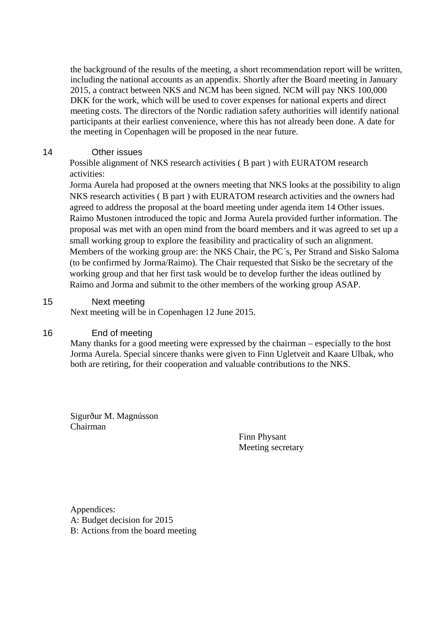the background of the results of the meeting, a short recommendation report will be written, including the national accounts as an appendix. Shortly after the Board meeting in January 2015, a contract between NKS and NCM has been signed. NCM will pay NKS 100,000 DKK for the work, which will be used to cover expenses for national experts and direct meeting costs. The directors of the Nordic radiation safety authorities will identify national participants at their earliest convenience, where this has not already been done. A date for the meeting in Copenhagen will be proposed in the near future.

#### 14 Other issues

Possible alignment of NKS research activities ( B part ) with EURATOM research activities:

Jorma Aurela had proposed at the owners meeting that NKS looks at the possibility to align NKS research activities ( B part ) with EURATOM research activities and the owners had agreed to address the proposal at the board meeting under agenda item 14 Other issues. Raimo Mustonen introduced the topic and Jorma Aurela provided further information. The proposal was met with an open mind from the board members and it was agreed to set up a small working group to explore the feasibility and practicality of such an alignment. Members of the working group are: the NKS Chair, the PC´s, Per Strand and Sisko Saloma (to be confirmed by Jorma/Raimo). The Chair requested that Sisko be the secretary of the working group and that her first task would be to develop further the ideas outlined by Raimo and Jorma and submit to the other members of the working group ASAP.

#### 15 Next meeting

Next meeting will be in Copenhagen 12 June 2015.

#### 16 End of meeting

Many thanks for a good meeting were expressed by the chairman – especially to the host Jorma Aurela. Special sincere thanks were given to Finn Ugletveit and Kaare Ulbak, who both are retiring, for their cooperation and valuable contributions to the NKS.

Sigurður M. Magnússon Chairman

Finn Physant Meeting secretary

Appendices: A: Budget decision for 2015 B: Actions from the board meeting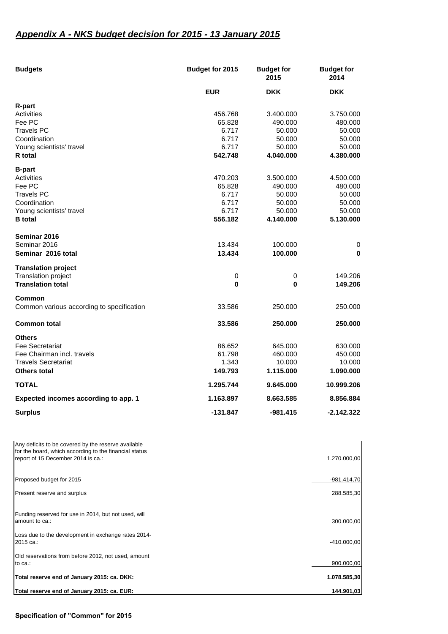## *Appendix A - NKS budget decision for 2015 - 13 January 2015*

| <b>Budgets</b>                            | Budget for 2015 | <b>Budget for</b><br>2015 | <b>Budget for</b><br>2014 |
|-------------------------------------------|-----------------|---------------------------|---------------------------|
|                                           | <b>EUR</b>      | <b>DKK</b>                | <b>DKK</b>                |
| <b>R-part</b>                             |                 |                           |                           |
| Activities                                | 456.768         | 3.400.000                 | 3.750.000                 |
| Fee PC                                    | 65.828          | 490.000                   | 480.000                   |
| <b>Travels PC</b>                         | 6.717           | 50.000                    | 50.000                    |
| Coordination                              | 6.717           | 50.000                    | 50.000                    |
| Young scientists' travel                  | 6.717           | 50.000                    | 50.000                    |
| <b>R</b> total                            | 542.748         | 4.040.000                 | 4.380.000                 |
| <b>B-part</b>                             |                 |                           |                           |
| Activities                                | 470.203         | 3.500.000                 | 4.500.000                 |
| Fee PC                                    | 65.828          | 490.000                   | 480.000                   |
| <b>Travels PC</b>                         | 6.717           | 50.000                    | 50.000                    |
| Coordination                              | 6.717           | 50.000                    | 50.000                    |
| Young scientists' travel                  | 6.717           | 50.000                    | 50.000                    |
| <b>B</b> total                            | 556.182         | 4.140.000                 | 5.130.000                 |
| Seminar 2016                              |                 |                           |                           |
| Seminar 2016                              | 13.434          | 100.000                   | 0                         |
| Seminar 2016 total                        | 13.434          | 100.000                   | 0                         |
| <b>Translation project</b>                |                 |                           |                           |
| <b>Translation project</b>                | $\pmb{0}$       | $\pmb{0}$                 | 149.206                   |
| <b>Translation total</b>                  | 0               | 0                         | 149.206                   |
| Common                                    |                 |                           |                           |
| Common various according to specification | 33.586          | 250,000                   | 250.000                   |
| <b>Common total</b>                       | 33.586          | 250.000                   | 250.000                   |
| <b>Others</b>                             |                 |                           |                           |
| Fee Secretariat                           | 86.652          | 645.000                   | 630.000                   |
| Fee Chairman incl. travels                | 61.798          | 460.000                   | 450.000                   |
| <b>Travels Secretariat</b>                | 1.343           | 10.000                    | 10.000                    |
| <b>Others total</b>                       | 149.793         | 1.115.000                 | 1.090.000                 |
| <b>TOTAL</b>                              | 1.295.744       | 9.645.000                 | 10.999.206                |
| Expected incomes according to app. 1      | 1.163.897       | 8.663.585                 | 8.856.884                 |
| <b>Surplus</b>                            | $-131.847$      | -981.415                  | $-2.142.322$              |

| Any deficits to be covered by the reserve available                                          |               |
|----------------------------------------------------------------------------------------------|---------------|
| for the board, which according to the financial status<br>report of 15 December 2014 is ca.: | 1.270.000,00  |
| Proposed budget for 2015                                                                     | $-981.414,70$ |
| Present reserve and surplus                                                                  | 288.585,30    |
| Funding reserved for use in 2014, but not used, will<br>amount to ca.:                       | 300.000,00    |
| Loss due to the development in exchange rates 2014-<br>2015 ca.:                             | $-410.000,00$ |
| Old reservations from before 2012, not used, amount<br>to ca.:                               | 900.000,00    |
| Total reserve end of January 2015: ca. DKK:                                                  | 1.078.585,30  |
| Total reserve end of January 2015: ca. EUR:                                                  | 144.901,03    |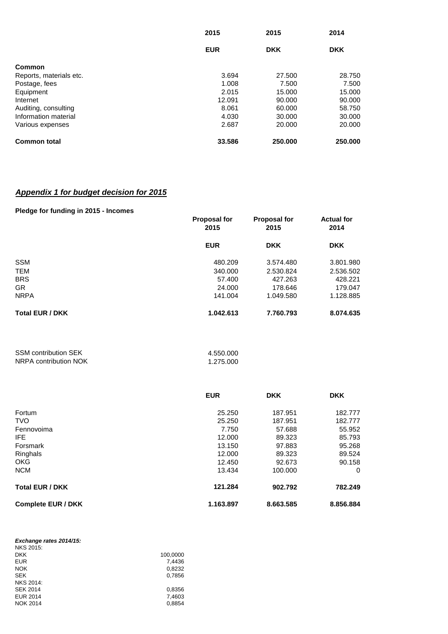|                         | 2015<br><b>EUR</b> | 2015<br><b>DKK</b> | 2014<br><b>DKK</b> |
|-------------------------|--------------------|--------------------|--------------------|
|                         |                    |                    |                    |
| Common                  |                    |                    |                    |
| Reports, materials etc. | 3.694              | 27,500             | 28.750             |
| Postage, fees           | 1.008              | 7.500              | 7.500              |
| Equipment               | 2.015              | 15.000             | 15.000             |
| Internet                | 12.091             | 90,000             | 90,000             |
| Auditing, consulting    | 8.061              | 60,000             | 58.750             |
| Information material    | 4.030              | 30,000             | 30,000             |
| Various expenses        | 2.687              | 20,000             | 20,000             |
| <b>Common total</b>     | 33.586             | 250.000            | 250,000            |

### *Appendix 1 for budget decision for 2015*

#### **Pledge for funding in 2015 - Incomes**

|                        | <b>Proposal for</b><br>2015 | <b>Proposal for</b><br>2015 | <b>Actual for</b><br>2014 |
|------------------------|-----------------------------|-----------------------------|---------------------------|
|                        | <b>EUR</b>                  | <b>DKK</b>                  | <b>DKK</b>                |
| <b>SSM</b>             | 480.209                     | 3.574.480                   | 3.801.980                 |
| <b>TEM</b>             | 340,000                     | 2.530.824                   | 2.536.502                 |
| <b>BRS</b>             | 57.400                      | 427.263                     | 428.221                   |
| <b>GR</b>              | 24.000                      | 178.646                     | 179.047                   |
| <b>NRPA</b>            | 141.004                     | 1.049.580                   | 1.128.885                 |
| <b>Total EUR / DKK</b> | 1.042.613                   | 7.760.793                   | 8.074.635                 |

| <b>SSM contribution SEK</b> | 4.550.000 |
|-----------------------------|-----------|
| NRPA contribution NOK       | 1.275.000 |

|                           | <b>EUR</b> | <b>DKK</b> | <b>DKK</b> |
|---------------------------|------------|------------|------------|
| Fortum                    | 25.250     | 187.951    | 182.777    |
| <b>TVO</b>                | 25.250     | 187.951    | 182.777    |
| Fennovoima                | 7.750      | 57.688     | 55.952     |
| IFE.                      | 12.000     | 89.323     | 85.793     |
| Forsmark                  | 13.150     | 97.883     | 95.268     |
| Ringhals                  | 12.000     | 89.323     | 89.524     |
| <b>OKG</b>                | 12.450     | 92.673     | 90.158     |
| <b>NCM</b>                | 13.434     | 100.000    | 0          |
| <b>Total EUR / DKK</b>    | 121.284    | 902.792    | 782.249    |
| <b>Complete EUR / DKK</b> | 1.163.897  | 8.663.585  | 8.856.884  |

| Exchange rates 2014/15: |          |
|-------------------------|----------|
| <b>NKS 2015:</b>        |          |
| <b>DKK</b>              | 100,0000 |
| <b>EUR</b>              | 7.4436   |
| <b>NOK</b>              | 0,8232   |
| <b>SEK</b>              | 0.7856   |
| <b>NKS 2014:</b>        |          |
| <b>SEK 2014</b>         | 0.8356   |
| <b>EUR 2014</b>         | 7.4603   |
| <b>NOK 2014</b>         | 0,8854   |
|                         |          |